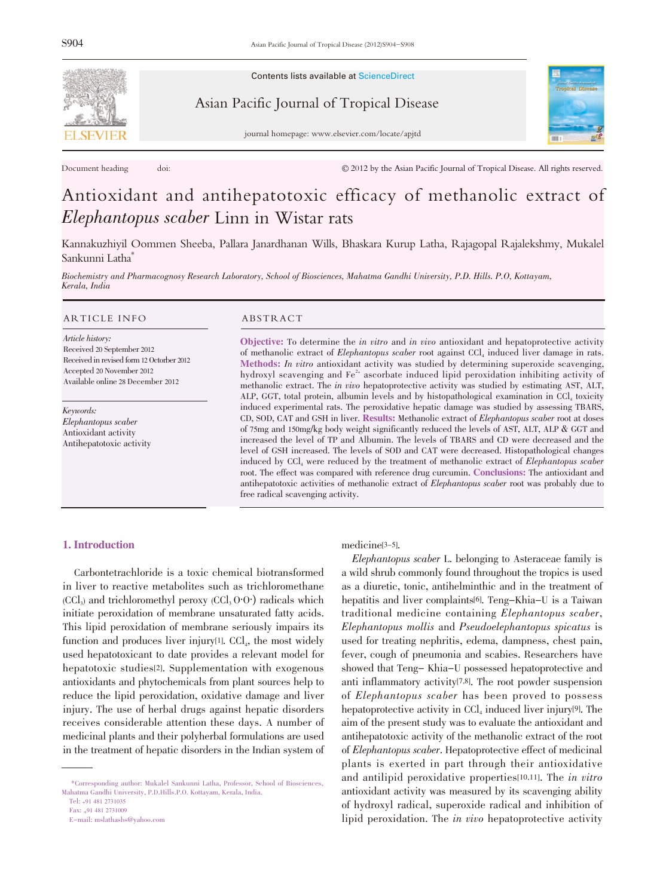

Contents lists available at ScienceDirect

Asian Pacific Journal of Tropical Disease



journal homepage: www.elsevier.com/locate/apjtd

Document heading doi:  $\textcircled{2012}$  by the Asian Pacific Journal of Tropical Disease. All rights reserved.

# Antioxidant and antihepatotoxic efficacy of methanolic extract of Elephantopus scaber Linn in Wistar rats

Kannakuzhiyil Oommen Sheeba, Pallara Janardhanan Wills, Bhaskara Kurup Latha, Rajagopal Rajalekshmy, Mukalel Sankunni Latha\*

Biochemistry and Pharmacognosy Research Laboratory, School of Biosciences, Mahatma Gandhi University, P.D. Hills. P.O, Kottayam, Kerala, India

#### ARTICLE INFO ABSTRACT

Article history: Received 20 September 2012 Received in revised form 12 Octorber 2012 Accepted 20 November 2012 Available online 28 December 2012

Keywords: Elephantopus scaber Antioxidant activity Antihepatotoxic activity

Objective: To determine the in vitro and in vivo antioxidant and hepatoprotective activity of methanolic extract of Elephantopus scaber root against CCl<sub>4</sub> induced liver damage in rats. Methods: In vitro antioxidant activity was studied by determining superoxide scavenging, hydroxyl scavenging and Fe<sup>2+</sup> ascorbate induced lipid peroxidation inhibiting activity of methanolic extract. The in vivo hepatoprotective activity was studied by estimating AST, ALT, ALP, GGT, total protein, albumin levels and by histopathological examination in CCl<sub>4</sub> toxicity induced experimental rats. The peroxidative hepatic damage was studied by assessing TBARS, CD, SOD, CAT and GSH in liver. Results: Methanolic extract of Elephantopus scaber root at doses of 75mg and 150mg/kg body weight significantly reduced the levels of AST, ALT, ALP & GGT and increased the level of TP and Albumin. The levels of TBARS and CD were decreased and the level of GSH increased. The levels of SOD and CAT were decreased. Histopathological changes induced by CCl4 were reduced by the treatment of methanolic extract of Elephantopus scaber root. The effect was compared with reference drug curcumin. Conclusions: The antioxidant and antihepatotoxic activities of methanolic extract of Elephantopus scaber root was probably due to free radical scavenging activity.

#### 1. Introduction

Carbontetrachloride is a toxic chemical biotransformed in liver to reactive metabolites such as trichloromethane  $(CCl<sub>3</sub>)$  and trichloromethyl peroxy  $(CCl<sub>3</sub> O·O<sub>3</sub>)$  radicals which initiate peroxidation of membrane unsaturated fatty acids. This lipid peroxidation of membrane seriously impairs its function and produces liver injury $[1]$ . CCl<sub>4</sub>, the most widely used hepatotoxicant to date provides a relevant model for hepatotoxic studies[2]. Supplementation with exogenous antioxidants and phytochemicals from plant sources help to reduce the lipid peroxidation, oxidative damage and liver injury. The use of herbal drugs against hepatic disorders receives considerable attention these days. A number of medicinal plants and their polyherbal formulations are used in the treatment of hepatic disorders in the Indian system of

Tel: +91 481 2731035

Fax: +91 481 2731009

E-mail: mslathasbs@yahoo.com

# medicine[3-5].

Elephantopus scaber L. belonging to Asteraceae family is a wild shrub commonly found throughout the tropics is used as a diuretic, tonic, antihelminthic and in the treatment of hepatitis and liver complaints[6]. Teng-Khia-U is a Taiwan traditional medicine containing Elephantopus scaber, Elephantopus mollis and Pseudoelephantopus spicatus is used for treating nephritis, edema, dampness, chest pain, fever, cough of pneumonia and scabies. Researchers have showed that Teng- Khia-U possessed hepatoprotective and anti inflammatory activity[7,8]. The root powder suspension of Elephantopus scaber has been proved to possess hepatoprotective activity in  $\text{CCl}_4$  induced liver injury<sup>[9]</sup>. The aim of the present study was to evaluate the antioxidant and antihepatotoxic activity of the methanolic extract of the root of Elephantopus scaber. Hepatoprotective effect of medicinal plants is exerted in part through their antioxidative and antilipid peroxidative properties[10,11]. The in vitro antioxidant activity was measured by its scavenging ability of hydroxyl radical, superoxide radical and inhibition of lipid peroxidation. The in vivo hepatoprotective activity

<sup>\*</sup>Corresponding author: Mukalel Sankunni Latha, Professor, School of Biosciences, Mahatma Gandhi University, P.D.Hills.P.O. Kottayam, Kerala, India.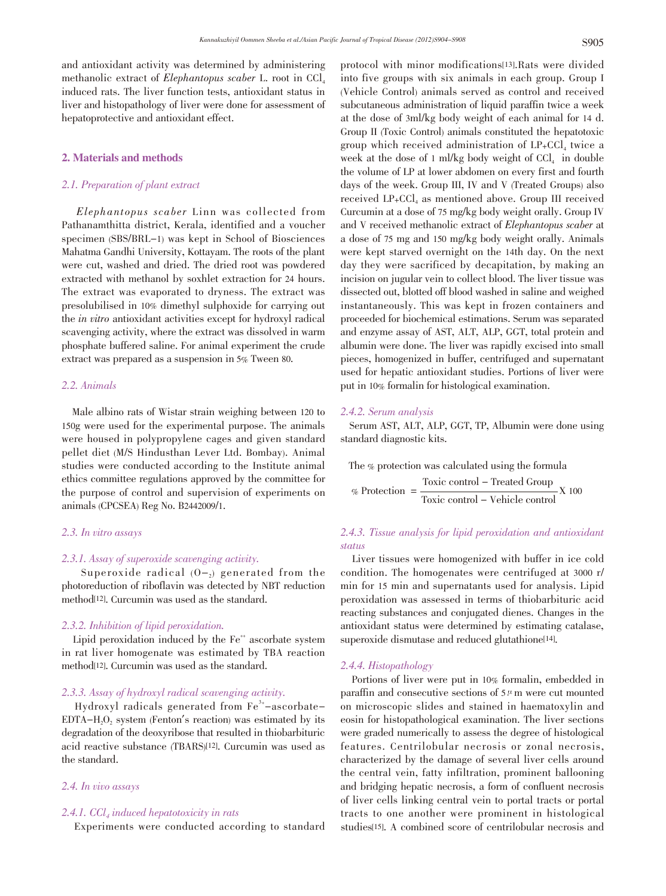and antioxidant activity was determined by administering methanolic extract of Elephantopus scaber L. root in  $\text{CCL}$ induced rats. The liver function tests, antioxidant status in liver and histopathology of liver were done for assessment of hepatoprotective and antioxidant effect.

# 2. Materials and methods

# 2.1. Preparation of plant extract

 Elephantopus scaber Linn was collected from Pathanamthitta district, Kerala, identified and a voucher specimen (SBS/BRL-1) was kept in School of Biosciences Mahatma Gandhi University, Kottayam. The roots of the plant were cut, washed and dried. The dried root was powdered extracted with methanol by soxhlet extraction for 24 hours. The extract was evaporated to dryness. The extract was presolubilised in 10% dimethyl sulphoxide for carrying out the in vitro antioxidant activities except for hydroxyl radical scavenging activity, where the extract was dissolved in warm phosphate buffered saline. For animal experiment the crude extract was prepared as a suspension in 5% Tween 80.

#### 2.2. Animals

Male albino rats of Wistar strain weighing between 120 to 150g were used for the experimental purpose. The animals were housed in polypropylene cages and given standard pellet diet (M/S Hindusthan Lever Ltd. Bombay). Animal studies were conducted according to the Institute animal ethics committee regulations approved by the committee for the purpose of control and supervision of experiments on animals (CPCSEA) Reg No. B2442009/1.

#### 2.3. In vitro assays

# 2.3.1. Assay of superoxide scavenging activity.

Superoxide radical  $(0-2)$  generated from the photoreduction of riboflavin was detected by NBT reduction method[12]. Curcumin was used as the standard.

#### 2.3.2. Inhibition of lipid peroxidation.

Lipid peroxidation induced by the Fe<sup>++</sup> ascorbate system in rat liver homogenate was estimated by TBA reaction method[12]. Curcumin was used as the standard.

# 2.3.3. Assay of hydroxyl radical scavenging activity.

 $Hydroxyl$  radicals generated from  $Fe<sup>3+</sup> - ascorbate EDTA-H, 0$ , system (Fenton's reaction) was estimated by its degradation of the deoxyribose that resulted in thiobarbituric acid reactive substance (TBARS)[12]. Curcumin was used as the standard.

#### 2.4. In vivo assays

# 2.4.1.  $CCl<sub>4</sub>$  induced hepatotoxicity in rats

Experiments were conducted according to standard

protocol with minor modifications[13].Rats were divided into five groups with six animals in each group. Group I (Vehicle Control) animals served as control and received subcutaneous administration of liquid paraffin twice a week at the dose of 3ml/kg body weight of each animal for 14 d. Group II (Toxic Control) animals constituted the hepatotoxic group which received administration of  $LP_{+}CCL_{4}$  twice a week at the dose of 1 ml/kg body weight of  $\text{CCl}_4$  in double the volume of LP at lower abdomen on every first and fourth days of the week. Group III, IV and V (Treated Groups) also received  $LP+CCl<sub>4</sub>$  as mentioned above. Group III received Curcumin at a dose of 75 mg/kg body weight orally. Group IV and V received methanolic extract of Elephantopus scaber at a dose of 75 mg and 150 mg/kg body weight orally. Animals were kept starved overnight on the 14th day. On the next day they were sacrificed by decapitation, by making an incision on jugular vein to collect blood. The liver tissue was dissected out, blotted off blood washed in saline and weighed instantaneously. This was kept in frozen containers and proceeded for biochemical estimations. Serum was separated and enzyme assay of AST, ALT, ALP, GGT, total protein and albumin were done. The liver was rapidly excised into small pieces, homogenized in buffer, centrifuged and supernatant used for hepatic antioxidant studies. Portions of liver were put in 10% formalin for histological examination.

#### 2.4.2. Serum analysis

Serum AST, ALT, ALP, GGT, TP, Albumin were done using standard diagnostic kits.

The % protection was calculated using the formula Toxic control - Treated Group % Protection  $=\frac{1}{\text{Train} \cdot \text{Stabola}}$  X 100 Toxic control - Vehicle control

# 2.4.3. Tissue analysis for lipid peroxidation and antioxidant status

Liver tissues were homogenized with buffer in ice cold condition. The homogenates were centrifuged at 3000 r/ min for 15 min and supernatants used for analysis. Lipid peroxidation was assessed in terms of thiobarbituric acid reacting substances and conjugated dienes. Changes in the antioxidant status were determined by estimating catalase, superoxide dismutase and reduced glutathione<sup>[14]</sup>.

# 2.4.4. Histopathology

Portions of liver were put in 10% formalin, embedded in paraffin and consecutive sections of  $5<sup>\mu</sup>$  m were cut mounted on microscopic slides and stained in haematoxylin and eosin for histopathological examination. The liver sections were graded numerically to assess the degree of histological features. Centrilobular necrosis or zonal necrosis, characterized by the damage of several liver cells around the central vein, fatty infiltration, prominent ballooning and bridging hepatic necrosis, a form of confluent necrosis of liver cells linking central vein to portal tracts or portal tracts to one another were prominent in histological studies[15]. A combined score of centrilobular necrosis and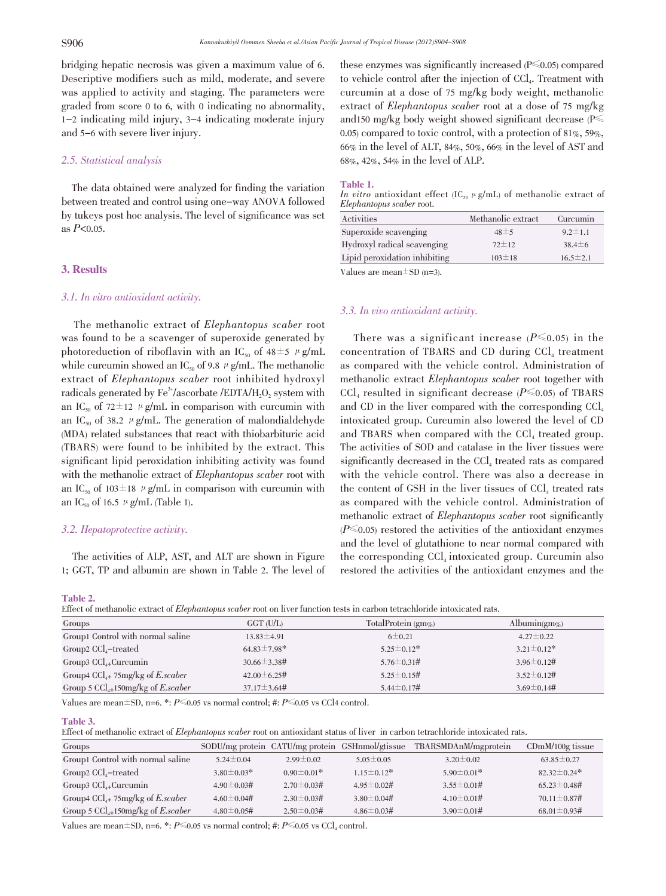bridging hepatic necrosis was given a maximum value of 6. Descriptive modifiers such as mild, moderate, and severe was applied to activity and staging. The parameters were graded from score 0 to 6, with 0 indicating no abnormality, 1-2 indicating mild injury, 3-4 indicating moderate injury and 5-6 with severe liver injury.

# 2.5. Statistical analysis

The data obtained were analyzed for finding the variation between treated and control using one-way ANOVA followed by tukeys post hoc analysis. The level of significance was set as  $P<0.05$ .

# 3. Results

#### 3.1. In vitro antioxidant activity.

The methanolic extract of Elephantopus scaber root was found to be a scavenger of superoxide generated by photoreduction of riboflavin with an IC<sub>50</sub> of  $48±5 \mu g/mL$ while curcumin showed an IC<sub>50</sub> of 9.8  $\mu$  g/mL. The methanolic extract of Elephantopus scaber root inhibited hydroxyl radicals generated by  $\mathrm{Fe}^{3+}/\mathrm{ascor}$  bate /EDTA/H<sub>2</sub>O<sub>2</sub> system with an IC<sub>50</sub> of 72 $\pm$ 12  $\mu$  g/mL in comparison with curcumin with an IC<sub>50</sub> of 38.2  $\mu$  g/mL. The generation of malondialdehyde (MDA) related substances that react with thiobarbituric acid (TBARS) were found to be inhibited by the extract. This significant lipid peroxidation inhibiting activity was found with the methanolic extract of *Elephantopus scaber* root with an IC<sub>50</sub> of 103 $\pm$ 18  $\mu$  g/mL in comparison with curcumin with an IC<sub>50</sub> of 16.5  $\mu$  g/mL (Table 1).

# 3.2. Hepatoprotective activity.

The activities of ALP, AST, and ALT are shown in Figure 1; GGT, TP and albumin are shown in Table 2. The level of

Table 2.

Effect of methanolic extract of Elephantopus scaber root on liver function tests in carbon tetrachloride intoxicated rats.

| Groups                                        | $GGT$ (U/L)         | TotalProtein $(gmg)$ | Albumin(gm\%)     |
|-----------------------------------------------|---------------------|----------------------|-------------------|
| Group1 Control with normal saline             | $13.83 \pm 4.91$    | $6 \pm 0.21$         | $4.27 \pm 0.22$   |
| Group2 $CCl4$ -treated                        | $64.83 \pm 7.98$ *  | $5.25 \pm 0.12^*$    | $3.21 \pm 0.12$ * |
| Group3 $CCl_{4+}$ Curcumin                    | $30.66 \pm 3.38 \#$ | $5.76 \pm 0.31 \#$   | $3.96 \pm 0.12$ # |
| Group4 $CCl_{4+}$ 75mg/kg of <i>E.scaber</i>  | $42.00 \pm 6.25$ #  | $5.25 \pm 0.15$ #    | $3.52 \pm 0.12$ # |
| Group 5 $CCl_{4+}150mg/kg$ of <i>E.scaber</i> | $37.17 \pm 3.64$ #  | $5.44 \pm 0.17$ #    | $3.69 \pm 0.14$ # |

Values are mean $\pm$ SD, n=6. \*:  $P \le 0.05$  vs normal control; #:  $P \le 0.05$  vs CCl4 control.

#### Table 3.

Effect of methanolic extract of Elephantopus scaber root on antioxidant status of liver in carbon tetrachloride intoxicated rats.

| Groups                                        |                   |                   | SODU/mg protein CATU/mg protein GSHnmol/gtissue | TBARSMDAnM/mgprotein | $CDmM/100g$ tissue |
|-----------------------------------------------|-------------------|-------------------|-------------------------------------------------|----------------------|--------------------|
| Group1 Control with normal saline             | $5.24 \pm 0.04$   | $2.99 \pm 0.02$   | $5.05 \pm 0.05$                                 | $3.20 \pm 0.02$      | $63.85 \pm 0.27$   |
| Group2 $CCl4$ -treated                        | $3.80 \pm 0.03*$  | $0.90 \pm 0.01*$  | $1.15 \pm 0.12$ *                               | $5.90 \pm 0.01*$     | $82.32 \pm 0.24*$  |
| Group3 $CCl_{4+}$ Curcumin                    | $4.90 \pm 0.03#$  | $2.70 \pm 0.03$ # | $4.95 \pm 0.02$ #                               | $3.55 \pm 0.01$ #    | $65.23 \pm 0.48$ # |
| Group4 $CCl_{4+}$ 75mg/kg of <i>E.scaber</i>  | $4.60 \pm 0.04$ # | $2.30 \pm 0.03$ # | $3.80 \pm 0.04$ #                               | $4.10 \pm 0.01$ #    | $70.11 \pm 0.87$ # |
| Group 5 $CCl_{4+}150mg/kg$ of <i>E.scaber</i> | $4.80 \pm 0.05$ # | $2.50 \pm 0.03$ # | $4.86 \pm 0.03$ #                               | $3.90 \pm 0.01$ #    | $68.01 \pm 0.93$ # |

Values are mean $\pm$ SD, n=6. \*:  $P \le 0.05$  vs normal control; #:  $P \le 0.05$  vs CCl<sub>4</sub> control.

these enzymes was significantly increased  $(P\leq 0.05)$  compared to vehicle control after the injection of CCl<sub>4</sub>. Treatment with curcumin at a dose of 75 mg/kg body weight, methanolic extract of Elephantopus scaber root at a dose of <sup>75</sup> mg/kg and150 mg/kg body weight showed significant decrease ( $P \leq$ 0.05) compared to toxic control, with a protection of 81%, 59%, 66% in the level of ALT, 84%, 50%, 66% in the level of AST and 68%, 42%, 54% in the level of ALP.

#### Table 1.

In vitro antioxidant effect (IC<sub>50</sub>  $\mu$  g/mL) of methanolic extract of Elephantopus scaber root.

| Activities                    | Methanolic extract | Curcumin       |
|-------------------------------|--------------------|----------------|
| Superoxide scavenging         | $48 \pm 5$         | $9.2 \pm 1.1$  |
| Hydroxyl radical scavenging   | $72 \pm 12$        | $38.4 \pm 6$   |
| Lipid peroxidation inhibiting | $103 \pm 18$       | $16.5 \pm 2.1$ |
| $x \tau$ 1<br>$\sim$          |                    |                |

Values are mean $\pm$ SD (n=3).

#### 3.3. In vivo antioxidant activity.

There was a significant increase  $(P \le 0.05)$  in the concentration of TBARS and CD during  $CCI<sub>4</sub>$  treatment as compared with the vehicle control. Administration of methanolic extract Elephantopus scaber root together with CCl<sub>4</sub> resulted in significant decrease ( $P \le 0.05$ ) of TBARS and CD in the liver compared with the corresponding  $\text{CCl}_4$ intoxicated group. Curcumin also lowered the level of CD and TBARS when compared with the  $CCI<sub>4</sub>$  treated group. The activities of SOD and catalase in the liver tissues were significantly decreased in the  $CCl<sub>4</sub>$  treated rats as compared with the vehicle control. There was also a decrease in the content of GSH in the liver tissues of  $CCI<sub>4</sub>$  treated rats as compared with the vehicle control. Administration of methanolic extract of Elephantopus scaber root significantly  $(P\leq 0.05)$  restored the activities of the antioxidant enzymes and the level of glutathione to near normal compared with the corresponding  $CCl<sub>4</sub>$  intoxicated group. Curcumin also restored the activities of the antioxidant enzymes and the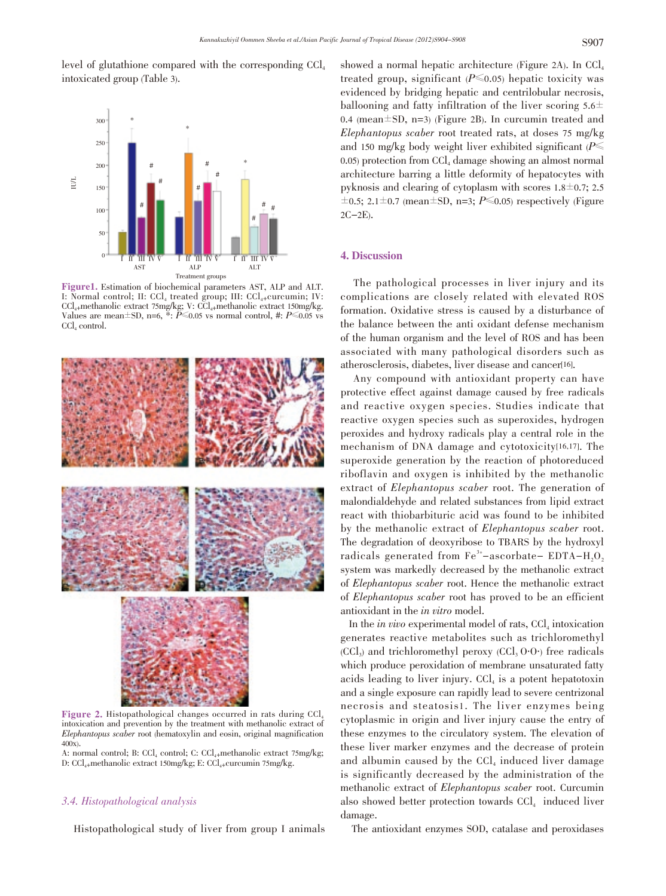level of glutathione compared with the corresponding  $\text{CCl}_4$ intoxicated group (Table 3).



**Figure1.** Estimation of biochemical parameters AST, ALP and ALT. I: Normal control; II:  $\text{CCl}_4$  treated group; III:  $\text{CCl}_4$ -curcumin; IV:  $\text{CCl}_{4+}$ methanolic extract 75mg/kg; V:  $\text{CCl}_{4+}$ methanolic extract 150mg/kg. Values are mean $\pm$ SD, n=6, \*: P = 0.05 vs normal control, #: P 0.05 vs CCl<sub>4</sub> control.



Figure 2. Histopathological changes occurred in rats during CCl<sub>4</sub> intoxication and prevention by the treatment with methanolic extract of Elephantopus scaber root (hematoxylin and eosin, original magnification 400x).

A: normal control; B: CCl<sub>4</sub> control; C: CCl<sub>4</sub>+methanolic extract 75mg/kg; D:  $CCl_{4+}$ methanolic extract 150mg/kg; E:  $CCl_{4+}$ curcumin 75mg/kg.

# 3.4. Histopathological analysis

Histopathological study of liver from group I animals

showed a normal hepatic architecture (Figure 2A). In  $\text{CCl}_4$ treated group, significant  $(P \le 0.05)$  hepatic toxicity was evidenced by bridging hepatic and centrilobular necrosis, ballooning and fatty infiltration of the liver scoring  $5.6\pm$ 0.4 (mean $\pm$ SD, n=3) (Figure 2B). In curcumin treated and Elephantopus scaber root treated rats, at doses <sup>75</sup> mg/kg and 150 mg/kg body weight liver exhibited significant ( $P \leq$ 0.05) protection from  $\text{CCl}_4$  damage showing an almost normal architecture barring a little deformity of hepatocytes with pyknosis and clearing of cytoplasm with scores  $1.8 \pm 0.7$ ; 2.5  $\pm$ 0.5; 2.1 $\pm$ 0.7 (mean $\pm$ SD, n=3; P $\leq$ 0.05) respectively (Figure 2C-2E).

# 4. Discussion

The pathological processes in liver injury and its complications are closely related with elevated ROS formation. Oxidative stress is caused by a disturbance of the balance between the anti oxidant defense mechanism of the human organism and the level of ROS and has been associated with many pathological disorders such as atherosclerosis, diabetes, liver disease and cancer[16].

Any compound with antioxidant property can have protective effect against damage caused by free radicals and reactive oxygen species. Studies indicate that reactive oxygen species such as superoxides, hydrogen peroxides and hydroxy radicals play a central role in the mechanism of DNA damage and cytotoxicity[16,17]. The superoxide generation by the reaction of photoreduced riboflavin and oxygen is inhibited by the methanolic extract of Elephantopus scaber root. The generation of malondialdehyde and related substances from lipid extract react with thiobarbituric acid was found to be inhibited by the methanolic extract of Elephantopus scaber root. The degradation of deoxyribose to TBARS by the hydroxyl radicals generated from  $\text{Fe}^{3+}$ -ascorbate- EDTA-H<sub>2</sub>O<sub>2</sub> system was markedly decreased by the methanolic extract of Elephantopus scaber root. Hence the methanolic extract of Elephantopus scaber root has proved to be an efficient antioxidant in the in vitro model.

In the *in vivo* experimental model of rats,  $CCI<sub>4</sub>$  intoxication generates reactive metabolites such as trichloromethyl  $(CCl<sub>3</sub>)$  and trichloromethyl peroxy  $(CCl<sub>3</sub> O·O<sub>1</sub>)$  free radicals which produce peroxidation of membrane unsaturated fatty acids leading to liver injury.  $CCl<sub>4</sub>$  is a potent hepatotoxin and a single exposure can rapidly lead to severe centrizonal necrosis and steatosis1. The liver enzymes being cytoplasmic in origin and liver injury cause the entry of these enzymes to the circulatory system. The elevation of these liver marker enzymes and the decrease of protein and albumin caused by the  $CCl<sub>4</sub>$  induced liver damage is significantly decreased by the administration of the methanolic extract of Elephantopus scaber root. Curcumin also showed better protection towards  $CCI<sub>4</sub>$  induced liver damage.

The antioxidant enzymes SOD, catalase and peroxidases